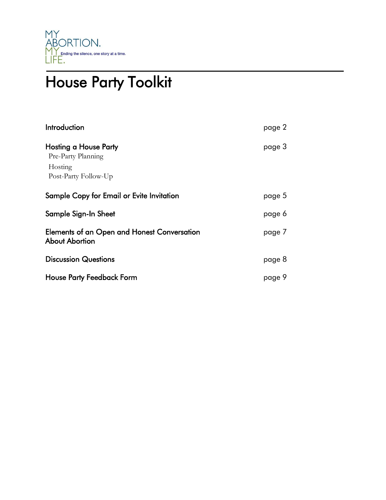

# House Party Toolkit

| Introduction                                                                   | page 2 |
|--------------------------------------------------------------------------------|--------|
| Hosting a House Party<br>Pre-Party Planning<br>Hosting<br>Post-Party Follow-Up | page 3 |
| Sample Copy for Email or Evite Invitation                                      | page 5 |
| Sample Sign-In Sheet                                                           | page 6 |
| Elements of an Open and Honest Conversation<br>About Abortion                  | page 7 |
| <b>Discussion Questions</b>                                                    | page 8 |
| <b>House Party Feedback Form</b>                                               | page 9 |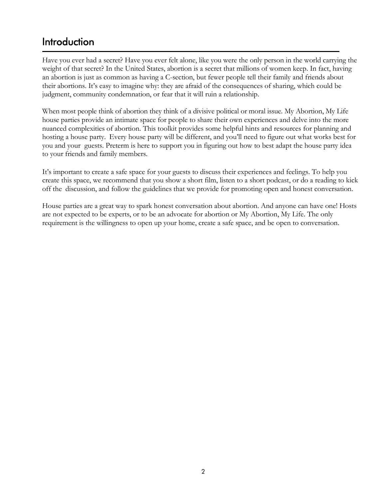# **Introduction**

Have you ever had a secret? Have you ever felt alone, like you were the only person in the world carrying the weight of that secret? In the United States, abortion is a secret that millions of women keep. In fact, having an abortion is just as common as having a C-section, but fewer people tell their family and friends about their abortions. It's easy to imagine why: they are afraid of the consequences of sharing, which could be judgment, community condemnation, or fear that it will ruin a relationship.

When most people think of abortion they think of a divisive political or moral issue. My Abortion, My Life house parties provide an intimate space for people to share their own experiences and delve into the more nuanced complexities of abortion. This toolkit provides some helpful hints and resources for planning and hosting a house party. Every house party will be different, and you'll need to figure out what works best for you and your guests. Preterm is here to support you in figuring out how to best adapt the house party idea to your friends and family members.

It's important to create a safe space for your guests to discuss their experiences and feelings. To help you create this space, we recommend that you show a short film, listen to a short podcast, or do a reading to kick off the discussion, and follow the guidelines that we provide for promoting open and honest conversation.

House parties are a great way to spark honest conversation about abortion. And anyone can have one! Hosts are not expected to be experts, or to be an advocate for abortion or My Abortion, My Life. The only requirement is the willingness to open up your home, create a safe space, and be open to conversation.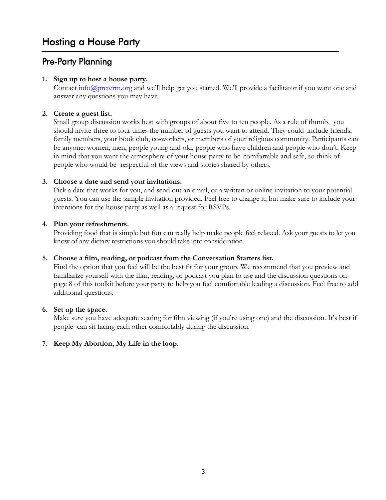## Pre-Party Planning

#### **1. Sign up to host a house party.**

Contact  $\frac{info(\partial\Omega)$  preterm.org and we'll help get you started. We'll provide a facilitator if you want one and answer any questions you may have.

#### **2. Create a guest list.**

Small group discussion works best with groups of about five to ten people. As a rule of thumb, you should invite three to four times the number of guests you want to attend. They could include friends, family members, your book club, co-workers, or members of your religious community. Participants can be anyone: women, men, people young and old, people who have children and people who don't. Keep in mind that you want the atmosphere of your house party to be comfortable and safe, so think of people who would be respectful of the views and stories shared by others.

#### **3. Choose a date and send your invitations.**

Pick a date that works for you, and send out an email, or a written or online invitation to your potential guests. You can use the sample invitation provided. Feel free to change it, but make sure to include your intentions for the house party as well as a request for RSVPs.

#### **4. Plan your refreshments.**

Providing food that is simple but fun can really help make people feel relaxed. Ask your guests to let you know of any dietary restrictions you should take into consideration.

#### **5. Choose a film, reading, or podcast from the Conversation Starters list.**

Find the option that you feel will be the best fit for your group. We recommend that you preview and familiarize yourself with the film, reading, or podcast you plan to use and the discussion questions on page 8 of this toolkit before your party to help you feel comfortable leading a discussion. Feel free to add additional questions.

#### **6. Set up the space.**

Make sure you have adequate seating for film viewing (if you're using one) and the discussion. It's best if people can sit facing each other comfortably during the discussion.

#### **7. Keep My Abortion, My Life in the loop.**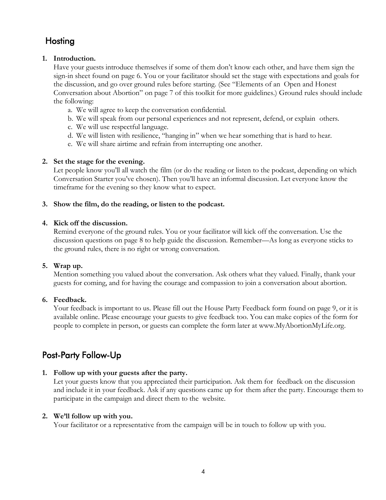## **Hosting**

#### **1. Introduction.**

Have your guests introduce themselves if some of them don't know each other, and have them sign the sign-in sheet found on page 6. You or your facilitator should set the stage with expectations and goals for the discussion, and go over ground rules before starting. (See "Elements of an Open and Honest Conversation about Abortion" on page 7 of this toolkit for more guidelines.) Ground rules should include the following:

- a. We will agree to keep the conversation confidential.
- b. We will speak from our personal experiences and not represent, defend, or explain others.
- c. We will use respectful language.
- d. We will listen with resilience, "hanging in" when we hear something that is hard to hear.
- e. We will share airtime and refrain from interrupting one another.

#### **2. Set the stage for the evening.**

Let people know you'll all watch the film (or do the reading or listen to the podcast, depending on which Conversation Starter you've chosen). Then you'll have an informal discussion. Let everyone know the timeframe for the evening so they know what to expect.

#### **3. Show the film, do the reading, or listen to the podcast.**

#### **4. Kick off the discussion.**

Remind everyone of the ground rules. You or your facilitator will kick off the conversation. Use the discussion questions on page 8 to help guide the discussion. Remember—As long as everyone sticks to the ground rules, there is no right or wrong conversation.

#### **5. Wrap up.**

Mention something you valued about the conversation. Ask others what they valued. Finally, thank your guests for coming, and for having the courage and compassion to join a conversation about abortion.

#### **6. Feedback.**

Your feedback is important to us. Please fill out the House Party Feedback form found on page 9, or it is available online. Please encourage your guests to give feedback too. You can make copies of the form for people to complete in person, or guests can complete the form later at [www.MyAbortionMyLife.org.](http://www.myabortionmylife.org/)

### Post-Party Follow-Up

#### **1. Follow up with your guests after the party.**

Let your guests know that you appreciated their participation. Ask them for feedback on the discussion and include it in your feedback. Ask if any questions came up for them after the party. Encourage them to participate in the campaign and direct them to the website.

#### **2. We'll follow up with you.**

Your facilitator or a representative from the campaign will be in touch to follow up with you.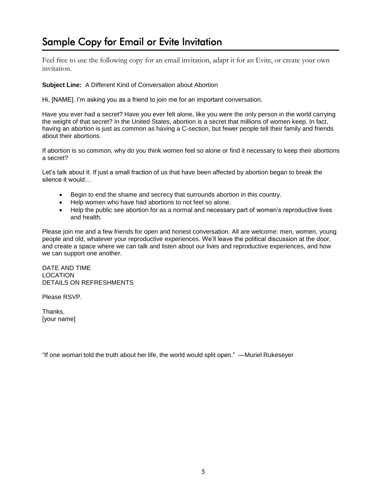# Sample Copy for Email or Evite Invitation

Feel free to use the following copy for an email invitation, adapt it for an Evite, or create your own invitation.

#### **Subject Line:** A Different Kind of Conversation about Abortion

Hi, [NAME]. I'm asking you as a friend to join me for an important conversation.

Have you ever had a secret? Have you ever felt alone, like you were the only person in the world carrying the weight of that secret? In the United States, abortion is a secret that millions of women keep. In fact, having an abortion is just as common as having a C-section, but fewer people tell their family and friends about their abortions.

If abortion is so common, why do you think women feel so alone or find it necessary to keep their abortions a secret?

Let's talk about it. If just a small fraction of us that have been affected by abortion began to break the silence it would…

- Begin to end the shame and secrecy that surrounds abortion in this country.
- Help women who have had abortions to not feel so alone.
- Help the public see abortion for as a normal and necessary part of women's reproductive lives and health.

Please join me and a few friends for open and honest conversation. All are welcome: men, women, young people and old, whatever your reproductive experiences. We'll leave the political discussion at the door, and create a space where we can talk and listen about our lives and reproductive experiences, and how we can support one another.

DATE AND TIME LOCATION DETAILS ON REFRESHMENTS

Please RSVP.

Thanks, [your name]

"If one woman told the truth about her life, the world would split open." —Muriel Rukeseyer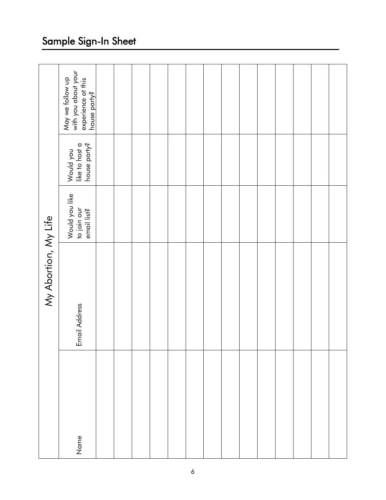| My Abortion, My Life | May we follow up<br>with you about your<br>experience at this<br>house party? |  |  |  |  |  |  |  |
|----------------------|-------------------------------------------------------------------------------|--|--|--|--|--|--|--|
|                      | Would you<br>like to host a<br>house party?                                   |  |  |  |  |  |  |  |
|                      | Would you like<br>to join our<br>email list?                                  |  |  |  |  |  |  |  |
|                      | Email Address                                                                 |  |  |  |  |  |  |  |
|                      | Name                                                                          |  |  |  |  |  |  |  |

## Sample Sign -In Sheet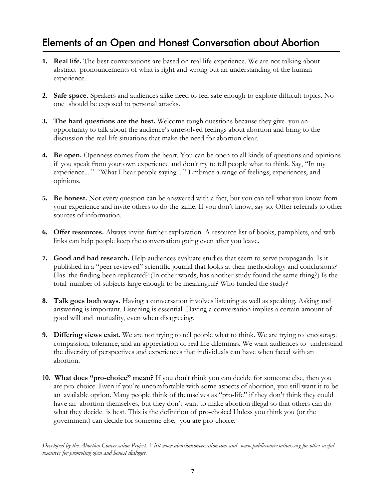# Elements of an Open and Honest Conversation about Abortion

- **1. Real life.** The best conversations are based on real life experience. We are not talking about abstract pronouncements of what is right and wrong but an understanding of the human experience.
- **2. Safe space.** Speakers and audiences alike need to feel safe enough to explore difficult topics. No one should be exposed to personal attacks.
- **3. The hard questions are the best.** Welcome tough questions because they give you an opportunity to talk about the audience's unresolved feelings about abortion and bring to the discussion the real life situations that make the need for abortion clear.
- **4. Be open.** Openness comes from the heart. You can be open to all kinds of questions and opinions if you speak from your own experience and don't try to tell people what to think. Say, "In my experience...." "What I hear people saying...." Embrace a range of feelings, experiences, and opinions.
- **5. Be honest.** Not every question can be answered with a fact, but you can tell what you know from your experience and invite others to do the same. If you don't know, say so. Offer referrals to other sources of information.
- **6. Offer resources.** Always invite further exploration. A resource list of books, pamphlets, and web links can help people keep the conversation going even after you leave.
- **7. Good and bad research.** Help audiences evaluate studies that seem to serve propaganda. Is it published in a "peer reviewed" scientific journal that looks at their methodology and conclusions? Has the finding been replicated? (In other words, has another study found the same thing?) Is the total number of subjects large enough to be meaningful? Who funded the study?
- **8. Talk goes both ways.** Having a conversation involves listening as well as speaking. Asking and answering is important. Listening is essential. Having a conversation implies a certain amount of good will and mutuality, even when disagreeing.
- **9. Differing views exist.** We are not trying to tell people what to think. We are trying to encourage compassion, tolerance, and an appreciation of real life dilemmas. We want audiences to understand the diversity of perspectives and experiences that individuals can have when faced with an abortion.
- **10. What does "pro-choice" mean?** If you don't think you can decide for someone else, then you are pro-choice. Even if you're uncomfortable with some aspects of abortion, you still want it to be an available option. Many people think of themselves as "pro-life" if they don't think they could have an abortion themselves, but they don't want to make abortion illegal so that others can do what they decide is best. This is the definition of pro-choice! Unless you think you (or the government) can decide for someone else, you are pro-choice.

*Developed by the Abortion Conversation Project. Visit [www.abortionconversation.com](http://www.abortionconversation.com/) and [www.publicconversations.org](http://www.publicconversations.org/) for other useful resources for promoting open and honest dialogue.*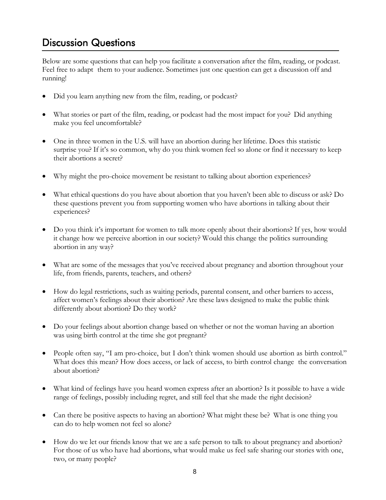## Discussion Questions

Below are some questions that can help you facilitate a conversation after the film, reading, or podcast. Feel free to adapt them to your audience. Sometimes just one question can get a discussion off and running!

- Did you learn anything new from the film, reading, or podcast?
- What stories or part of the film, reading, or podcast had the most impact for you? Did anything make you feel uncomfortable?
- One in three women in the U.S. will have an abortion during her lifetime. Does this statistic surprise you? If it's so common, why do you think women feel so alone or find it necessary to keep their abortions a secret?
- Why might the pro-choice movement be resistant to talking about abortion experiences?
- What ethical questions do you have about abortion that you haven't been able to discuss or ask? Do these questions prevent you from supporting women who have abortions in talking about their experiences?
- Do you think it's important for women to talk more openly about their abortions? If yes, how would it change how we perceive abortion in our society? Would this change the politics surrounding abortion in any way?
- What are some of the messages that you've received about pregnancy and abortion throughout your life, from friends, parents, teachers, and others?
- How do legal restrictions, such as waiting periods, parental consent, and other barriers to access, affect women's feelings about their abortion? Are these laws designed to make the public think differently about abortion? Do they work?
- Do your feelings about abortion change based on whether or not the woman having an abortion was using birth control at the time she got pregnant?
- People often say, "I am pro-choice, but I don't think women should use abortion as birth control." What does this mean? How does access, or lack of access, to birth control change the conversation about abortion?
- What kind of feelings have you heard women express after an abortion? Is it possible to have a wide range of feelings, possibly including regret, and still feel that she made the right decision?
- Can there be positive aspects to having an abortion? What might these be? What is one thing you can do to help women not feel so alone?
- How do we let our friends know that we are a safe person to talk to about pregnancy and abortion? For those of us who have had abortions, what would make us feel safe sharing our stories with one, two, or many people?